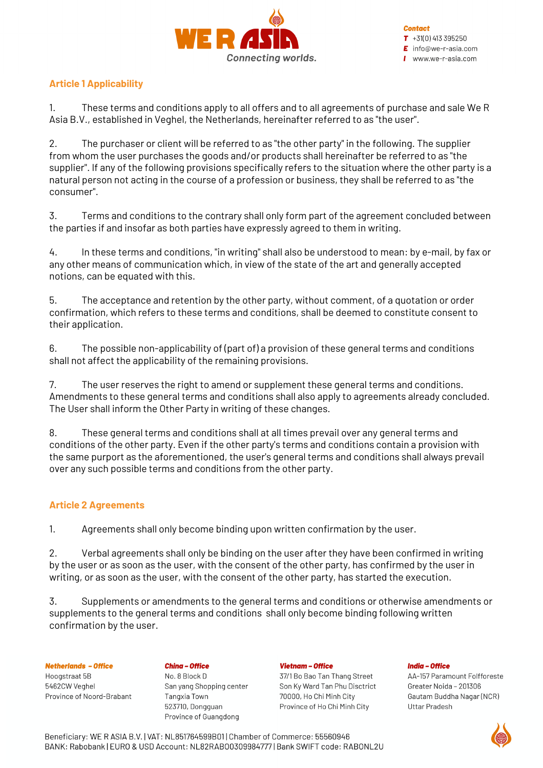

# **Article 1 Applicability**

1. These terms and conditions apply to all offers and to all agreements of purchase and sale We R Asia B.V., established in Veghel, the Netherlands, hereinafter referred to as "the user".

2. The purchaser or client will be referred to as "the other party" in the following. The supplier from whom the user purchases the goods and/or products shall hereinafter be referred to as "the supplier". If any of the following provisions specifically refers to the situation where the other party is a natural person not acting in the course of a profession or business, they shall be referred to as "the consumer".

3. Terms and conditions to the contrary shall only form part of the agreement concluded between the parties if and insofar as both parties have expressly agreed to them in writing.

4. In these terms and conditions, "in writing" shall also be understood to mean: by e-mail, by fax or any other means of communication which, in view of the state of the art and generally accepted notions, can be equated with this.

5. The acceptance and retention by the other party, without comment, of a quotation or order confirmation, which refers to these terms and conditions, shall be deemed to constitute consent to their application.

6. The possible non-applicability of (part of) a provision of these general terms and conditions shall not affect the applicability of the remaining provisions.

7. The user reserves the right to amend or supplement these general terms and conditions. Amendments to these general terms and conditions shall also apply to agreements already concluded. The User shall inform the Other Party in writing of these changes.

8. These general terms and conditions shall at all times prevail over any general terms and conditions of the other party. Even if the other party's terms and conditions contain a provision with the same purport as the aforementioned, the user's general terms and conditions shall always prevail over any such possible terms and conditions from the other party.

# **Article 2 Agreements**

1. Agreements shall only become binding upon written confirmation by the user.

2. Verbal agreements shall only be binding on the user after they have been confirmed in writing by the user or as soon as the user, with the consent of the other party, has confirmed by the user in writing, or as soon as the user, with the consent of the other party, has started the execution.

3. Supplements or amendments to the general terms and conditions or otherwise amendments or supplements to the general terms and conditions shall only become binding following written confirmation by the user.

### **Netherlands - Office**

Hoogstraat 5B 5462CW Veghel Province of Noord-Brabant **China - Office** No. 8 Block D San vang Shopping center Tangxia Town 523710, Dongguan Province of Guangdong

#### **Vietnam - Office**

37/1 Bo Bao Tan Thang Street Son Ky Ward Tan Phu Disctrict 70000, Ho Chi Minh City Province of Ho Chi Minh City

#### **India - Office**

AA-157 Paramount Folfforeste Greater Noida - 201306 Gautam Buddha Nagar (NCR) **Uttar Pradesh** 

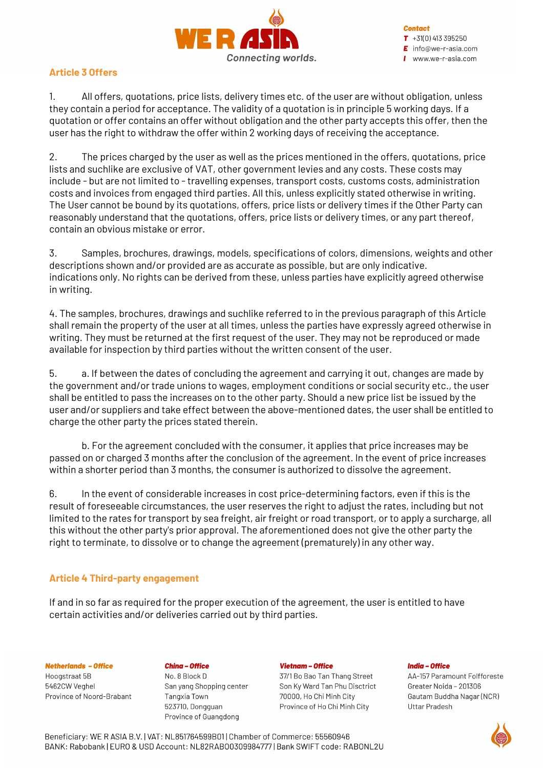

## **Article 3 Offers**

1. All offers, quotations, price lists, delivery times etc. of the user are without obligation, unless they contain a period for acceptance. The validity of a quotation is in principle 5 working days. If a quotation or offer contains an offer without obligation and the other party accepts this offer, then the user has the right to withdraw the offer within 2 working days of receiving the acceptance.

2. The prices charged by the user as well as the prices mentioned in the offers, quotations, price lists and suchlike are exclusive of VAT, other government levies and any costs. These costs may include - but are not limited to - travelling expenses, transport costs, customs costs, administration costs and invoices from engaged third parties. All this, unless explicitly stated otherwise in writing. The User cannot be bound by its quotations, offers, price lists or delivery times if the Other Party can reasonably understand that the quotations, offers, price lists or delivery times, or any part thereof, contain an obvious mistake or error.

3. Samples, brochures, drawings, models, specifications of colors, dimensions, weights and other descriptions shown and/or provided are as accurate as possible, but are only indicative. indications only. No rights can be derived from these, unless parties have explicitly agreed otherwise in writing.

4. The samples, brochures, drawings and suchlike referred to in the previous paragraph of this Article shall remain the property of the user at all times, unless the parties have expressly agreed otherwise in writing. They must be returned at the first request of the user. They may not be reproduced or made available for inspection by third parties without the written consent of the user.

5. a. If between the dates of concluding the agreement and carrying it out, changes are made by the government and/or trade unions to wages, employment conditions or social security etc., the user shall be entitled to pass the increases on to the other party. Should a new price list be issued by the user and/or suppliers and take effect between the above-mentioned dates, the user shall be entitled to charge the other party the prices stated therein.

b. For the agreement concluded with the consumer, it applies that price increases may be passed on or charged 3 months after the conclusion of the agreement. In the event of price increases within a shorter period than 3 months, the consumer is authorized to dissolve the agreement.

6. In the event of considerable increases in cost price-determining factors, even if this is the result of foreseeable circumstances, the user reserves the right to adjust the rates, including but not limited to the rates for transport by sea freight, air freight or road transport, or to apply a surcharge, all this without the other party's prior approval. The aforementioned does not give the other party the right to terminate, to dissolve or to change the agreement (prematurely) in any other way.

### **Article 4 Third-party engagement**

If and in so far as required for the proper execution of the agreement, the user is entitled to have certain activities and/or deliveries carried out by third parties.

### **Netherlands - Office**

Hoogstraat 5B 5462CW Veahel Province of Noord-Brabant

### **China - Office**

No. 8 Block D San vang Shopping center Tangxia Town 523710, Dongguan Province of Guangdong

### **Vietnam - Office**

37/1 Bo Bao Tan Thang Street Son Ky Ward Tan Phu Disctrict 70000, Ho Chi Minh City Province of Ho Chi Minh City

### **India - Office**



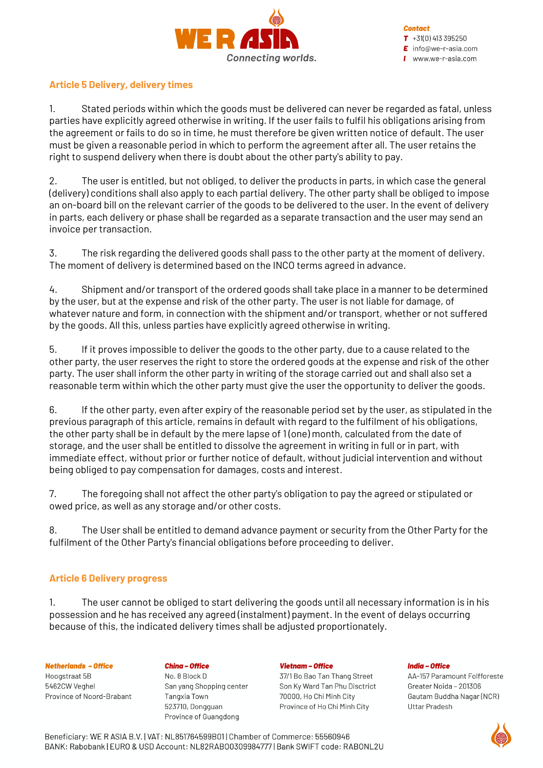

### **Article 5 Delivery, delivery times**

1. Stated periods within which the goods must be delivered can never be regarded as fatal, unless parties have explicitly agreed otherwise in writing. If the user fails to fulfil his obligations arising from the agreement or fails to do so in time, he must therefore be given written notice of default. The user must be given a reasonable period in which to perform the agreement after all. The user retains the right to suspend delivery when there is doubt about the other party's ability to pay.

2. The user is entitled, but not obliged, to deliver the products in parts, in which case the general (delivery) conditions shall also apply to each partial delivery. The other party shall be obliged to impose an on-board bill on the relevant carrier of the goods to be delivered to the user. In the event of delivery in parts, each delivery or phase shall be regarded as a separate transaction and the user may send an invoice per transaction.

3. The risk regarding the delivered goods shall pass to the other party at the moment of delivery. The moment of delivery is determined based on the INCO terms agreed in advance.

4. Shipment and/or transport of the ordered goods shall take place in a manner to be determined by the user, but at the expense and risk of the other party. The user is not liable for damage, of whatever nature and form, in connection with the shipment and/or transport, whether or not suffered by the goods. All this, unless parties have explicitly agreed otherwise in writing.

5. If it proves impossible to deliver the goods to the other party, due to a cause related to the other party, the user reserves the right to store the ordered goods at the expense and risk of the other party. The user shall inform the other party in writing of the storage carried out and shall also set a reasonable term within which the other party must give the user the opportunity to deliver the goods.

6. If the other party, even after expiry of the reasonable period set by the user, as stipulated in the previous paragraph of this article, remains in default with regard to the fulfilment of his obligations, the other party shall be in default by the mere lapse of 1 (one) month, calculated from the date of storage, and the user shall be entitled to dissolve the agreement in writing in full or in part, with immediate effect, without prior or further notice of default, without judicial intervention and without being obliged to pay compensation for damages, costs and interest.

7. The foregoing shall not affect the other party's obligation to pay the agreed or stipulated or owed price, as well as any storage and/or other costs.

8. The User shall be entitled to demand advance payment or security from the Other Party for the fulfilment of the Other Party's financial obligations before proceeding to deliver.

# **Article 6 Delivery progress**

1. The user cannot be obliged to start delivering the goods until all necessary information is in his possession and he has received any agreed (instalment) payment. In the event of delays occurring because of this, the indicated delivery times shall be adjusted proportionately.

### **Netherlands - Office**

Hoogstraat 5B 5462CW Veahel Province of Noord-Brabant **China - Office** No. 8 Block D San vang Shopping center Tangxia Town 523710, Dongguan Province of Guangdong

#### **Vietnam - Office**

37/1 Bo Bao Tan Thang Street Son Ky Ward Tan Phu Disctrict 70000, Ho Chi Minh City Province of Ho Chi Minh City

### **India - Office**

AA-157 Paramount Folfforeste Greater Noida - 201306 Gautam Buddha Nagar (NCR) **Uttar Pradesh** 

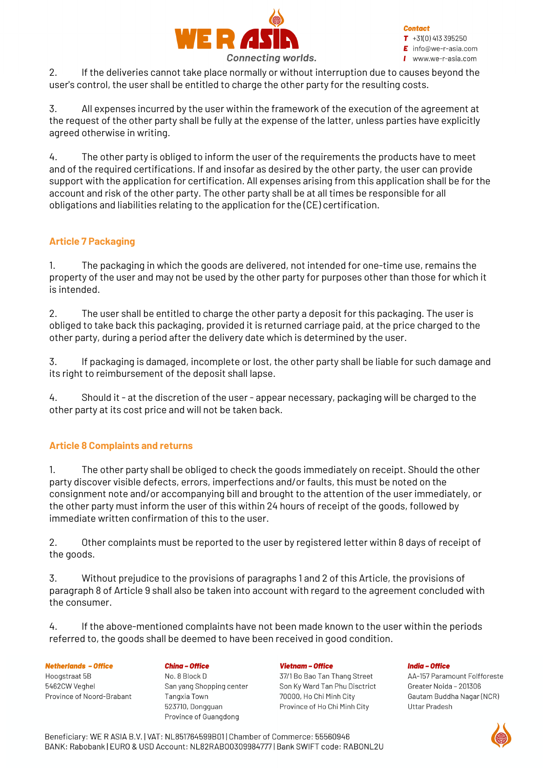

2. If the deliveries cannot take place normally or without interruption due to causes beyond the user's control, the user shall be entitled to charge the other party for the resulting costs.

3. All expenses incurred by the user within the framework of the execution of the agreement at the request of the other party shall be fully at the expense of the latter, unless parties have explicitly agreed otherwise in writing.

4. The other party is obliged to inform the user of the requirements the products have to meet and of the required certifications. If and insofar as desired by the other party, the user can provide support with the application for certification. All expenses arising from this application shall be for the account and risk of the other party. The other party shall be at all times be responsible for all obligations and liabilities relating to the application for the (CE) certification.

# **Article 7 Packaging**

1. The packaging in which the goods are delivered, not intended for one-time use, remains the property of the user and may not be used by the other party for purposes other than those for which it is intended.

2. The user shall be entitled to charge the other party a deposit for this packaging. The user is obliged to take back this packaging, provided it is returned carriage paid, at the price charged to the other party, during a period after the delivery date which is determined by the user.

3. If packaging is damaged, incomplete or lost, the other party shall be liable for such damage and its right to reimbursement of the deposit shall lapse.

4. Should it - at the discretion of the user - appear necessary, packaging will be charged to the other party at its cost price and will not be taken back.

# **Article 8 Complaints and returns**

1. The other party shall be obliged to check the goods immediately on receipt. Should the other party discover visible defects, errors, imperfections and/or faults, this must be noted on the consignment note and/or accompanying bill and brought to the attention of the user immediately, or the other party must inform the user of this within 24 hours of receipt of the goods, followed by immediate written confirmation of this to the user.

2. Other complaints must be reported to the user by registered letter within 8 days of receipt of the goods.

3. Without prejudice to the provisions of paragraphs 1 and 2 of this Article, the provisions of paragraph 8 of Article 9 shall also be taken into account with regard to the agreement concluded with the consumer.

4. If the above-mentioned complaints have not been made known to the user within the periods referred to, the goods shall be deemed to have been received in good condition.

**Netherlands - Office** Hoogstraat 5B 5462CW Veahel Province of Noord-Brabant **China - Office** No. 8 Block D San vang Shopping center Tangxia Town 523710, Dongguan Province of Guangdong

### **Vietnam - Office**

37/1 Bo Bao Tan Thang Street Son Ky Ward Tan Phu Disctrict 70000, Ho Chi Minh City Province of Ho Chi Minh City

### **India - Office**

AA-157 Paramount Folfforeste Greater Noida - 201306 Gautam Buddha Nagar (NCR) **Uttar Pradesh** 

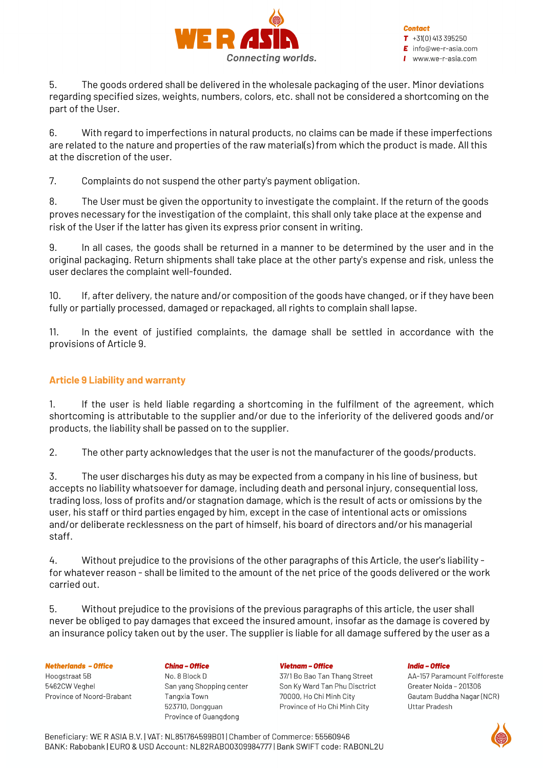

**Contact**  $T + 31(0)413395250$ 

 $E$  info@we-r-asia.com

 $\blacksquare$  www.we-r-asia.com

5. The goods ordered shall be delivered in the wholesale packaging of the user. Minor deviations regarding specified sizes, weights, numbers, colors, etc. shall not be considered a shortcoming on the part of the User.

6. With regard to imperfections in natural products, no claims can be made if these imperfections are related to the nature and properties of the raw material(s) from which the product is made. All this at the discretion of the user.

7. Complaints do not suspend the other party's payment obligation.

8. The User must be given the opportunity to investigate the complaint. If the return of the goods proves necessary for the investigation of the complaint, this shall only take place at the expense and risk of the User if the latter has given its express prior consent in writing.

9. In all cases, the goods shall be returned in a manner to be determined by the user and in the original packaging. Return shipments shall take place at the other party's expense and risk, unless the user declares the complaint well-founded.

10. If, after delivery, the nature and/or composition of the goods have changed, or if they have been fully or partially processed, damaged or repackaged, all rights to complain shall lapse.

11. In the event of justified complaints, the damage shall be settled in accordance with the provisions of Article 9.

# **Article 9 Liability and warranty**

1. If the user is held liable regarding a shortcoming in the fulfilment of the agreement, which shortcoming is attributable to the supplier and/or due to the inferiority of the delivered goods and/or products, the liability shall be passed on to the supplier.

2. The other party acknowledges that the user is not the manufacturer of the goods/products.

3. The user discharges his duty as may be expected from a company in his line of business, but accepts no liability whatsoever for damage, including death and personal injury, consequential loss, trading loss, loss of profits and/or stagnation damage, which is the result of acts or omissions by the user, his staff or third parties engaged by him, except in the case of intentional acts or omissions and/or deliberate recklessness on the part of himself, his board of directors and/or his managerial staff.

4. Without prejudice to the provisions of the other paragraphs of this Article, the user's liability for whatever reason - shall be limited to the amount of the net price of the goods delivered or the work carried out.

5. Without prejudice to the provisions of the previous paragraphs of this article, the user shall never be obliged to pay damages that exceed the insured amount, insofar as the damage is covered by an insurance policy taken out by the user. The supplier is liable for all damage suffered by the user as a

### **Netherlands - Office**

Hoogstraat 5B 5462CW Veahel Province of Noord-Brabant **China - Office** No. 8 Block D San vang Shopping center Tangxia Town 523710, Dongguan Province of Guangdong

### **Vietnam - Office**

37/1 Bo Bao Tan Thang Street Son Ky Ward Tan Phu Disctrict 70000, Ho Chi Minh City Province of Ho Chi Minh City

### **India - Office**



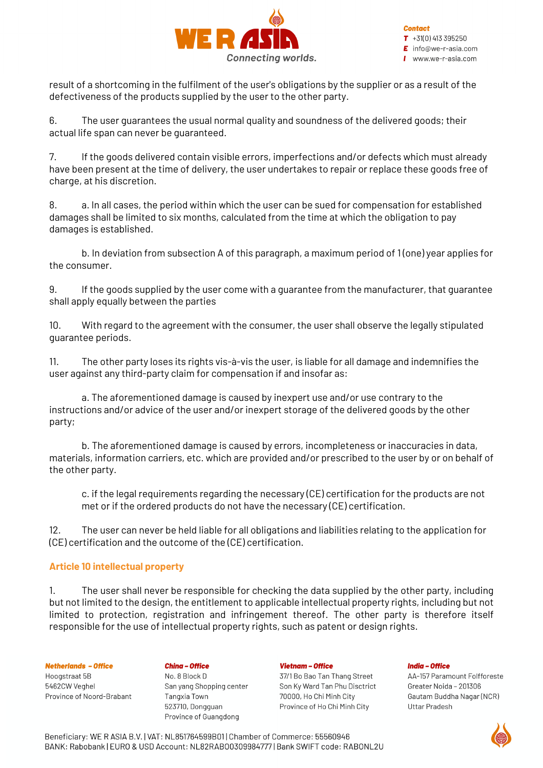

result of a shortcoming in the fulfilment of the user's obligations by the supplier or as a result of the defectiveness of the products supplied by the user to the other party.

6. The user guarantees the usual normal quality and soundness of the delivered goods; their actual life span can never be guaranteed.

7. If the goods delivered contain visible errors, imperfections and/or defects which must already have been present at the time of delivery, the user undertakes to repair or replace these goods free of charge, at his discretion.

8. a. In all cases, the period within which the user can be sued for compensation for established damages shall be limited to six months, calculated from the time at which the obligation to pay damages is established.

b. In deviation from subsection A of this paragraph, a maximum period of 1 (one) year applies for the consumer.

9. If the goods supplied by the user come with a guarantee from the manufacturer, that guarantee shall apply equally between the parties

10. With regard to the agreement with the consumer, the user shall observe the legally stipulated guarantee periods.

11. The other party loses its rights vis-à-vis the user, is liable for all damage and indemnifies the user against any third-party claim for compensation if and insofar as:

a. The aforementioned damage is caused by inexpert use and/or use contrary to the instructions and/or advice of the user and/or inexpert storage of the delivered goods by the other party;

b. The aforementioned damage is caused by errors, incompleteness or inaccuracies in data, materials, information carriers, etc. which are provided and/or prescribed to the user by or on behalf of the other party.

c. if the legal requirements regarding the necessary (CE) certification for the products are not met or if the ordered products do not have the necessary (CE) certification.

12. The user can never be held liable for all obligations and liabilities relating to the application for (CE) certification and the outcome of the (CE) certification.

# **Article 10 intellectual property**

1. The user shall never be responsible for checking the data supplied by the other party, including but not limited to the design, the entitlement to applicable intellectual property rights, including but not limited to protection, registration and infringement thereof. The other party is therefore itself responsible for the use of intellectual property rights, such as patent or design rights.

### **Netherlands - Office**

Hoogstraat 5B 5462CW Veghel Province of Noord-Brabant **China - Office** No. 8 Block D San vang Shopping center Tangxia Town 523710, Dongguan Province of Guangdong

### **Vietnam - Office**

37/1 Bo Bao Tan Thang Street Son Ky Ward Tan Phu Disctrict 70000, Ho Chi Minh City Province of Ho Chi Minh City

#### **India - Office**



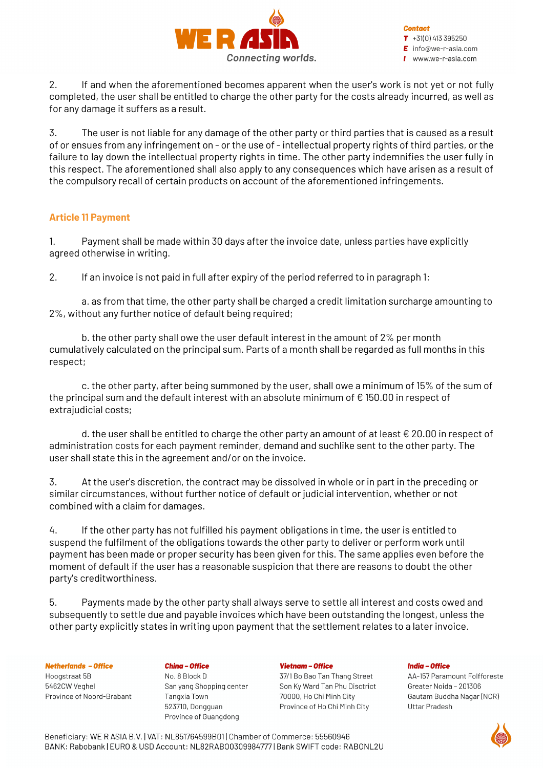

**Contact**  $T + 31(0)413395250$ 

 $E$  info@we-r-asia.com

 $I$  www.we-r-asia.com

2. If and when the aforementioned becomes apparent when the user's work is not yet or not fully completed, the user shall be entitled to charge the other party for the costs already incurred, as well as for any damage it suffers as a result.

3. The user is not liable for any damage of the other party or third parties that is caused as a result of or ensues from any infringement on - or the use of -intellectual property rights of third parties, or the failure to lay down the intellectual property rights in time. The other party indemnifies the user fully in this respect. The aforementioned shall also apply to any consequences which have arisen as a result of the compulsory recall of certain products on account of the aforementioned infringements.

# **Article 11 Payment**

1. Payment shall be made within 30 days after the invoice date, unless parties have explicitly agreed otherwise in writing.

2. If an invoice is not paid in full after expiry of the period referred to in paragraph 1:

a. as from that time, the other party shall be charged a credit limitation surcharge amounting to 2%, without any further notice of default being required;

b. the other party shall owe the user default interest in the amount of 2% per month cumulatively calculated on the principal sum. Parts of a month shall be regarded as full months in this respect;

c. the other party, after being summoned by the user, shall owe a minimum of 15% of the sum of the principal sum and the default interest with an absolute minimum of  $\epsilon$  150.00 in respect of extrajudicial costs;

d. the user shall be entitled to charge the other party an amount of at least  $\epsilon$  20.00 in respect of administration costs for each payment reminder, demand and suchlike sent to the other party. The user shall state this in the agreement and/or on the invoice.

3. At the user's discretion, the contract may be dissolved in whole or in part in the preceding or similar circumstances, without further notice of default or judicial intervention, whether or not combined with a claim for damages.

4. If the other party has not fulfilled his payment obligations in time, the user is entitled to suspend the fulfilment of the obligations towards the other party to deliver or perform work until payment has been made or proper security has been given for this. The same applies even before the moment of default if the user has a reasonable suspicion that there are reasons to doubt the other party's creditworthiness.

5. Payments made by the other party shall always serve to settle all interest and costs owed and subsequently to settle due and payable invoices which have been outstanding the longest, unless the other party explicitly states in writing upon payment that the settlement relates to a later invoice.

### **Netherlands - Office**

Hoogstraat 5B 5462CW Veahel Province of Noord-Brabant **China - Office** No. 8 Block D San vang Shopping center Tangxia Town 523710, Dongguan Province of Guangdong

### **Vietnam - Office**

37/1 Bo Bao Tan Thang Street Son Ky Ward Tan Phu Disctrict 70000, Ho Chi Minh City Province of Ho Chi Minh City

### **India - Office**



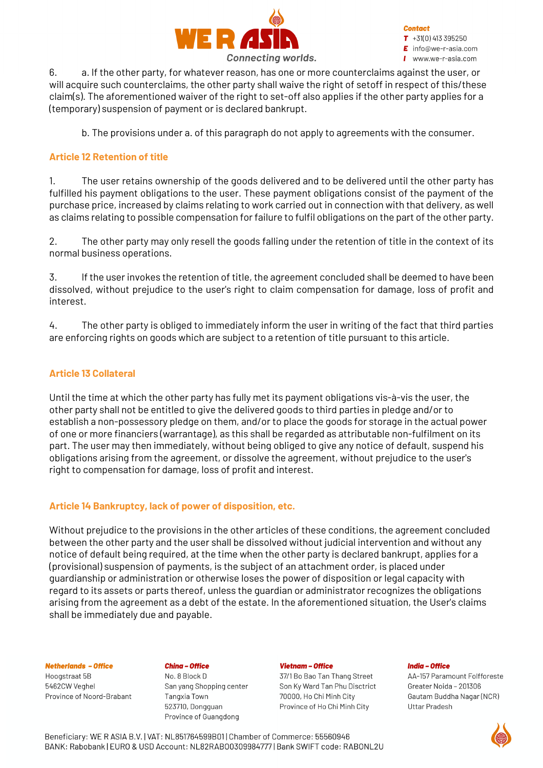

**Contact**  $T + 31(0)413395250$ 

 $\mathsf{E}$  info@we-r-asia.com

www.we-r-asia.com

6. a. If the other party, for whatever reason, has one or more counterclaims against the user, or will acquire such counterclaims, the other party shall waive the right of setoff in respect of this/these claim(s). The aforementioned waiver of the right to set-off also applies if the other party applies for a (temporary) suspension of payment or is declared bankrupt.

b. The provisions under a. of this paragraph do not apply to agreements with the consumer.

# **Article 12 Retention of title**

1. The user retains ownership of the goods delivered and to be delivered until the other party has fulfilled his payment obligations to the user. These payment obligations consist of the payment of the purchase price, increased by claims relating to work carried out in connection with that delivery, as well as claims relating to possible compensation for failure to fulfil obligations on the part of the other party.

2. The other party may only resell the goods falling under the retention of title in the context of its normal business operations.

3. If the user invokes the retention of title, the agreement concluded shall be deemed to have been dissolved, without prejudice to the user's right to claim compensation for damage, loss of profit and interest.

4. The other party is obliged to immediately inform the user in writing of the fact that third parties are enforcing rights on goods which are subject to a retention of title pursuant to this article.

## **Article 13 Collateral**

Until the time at which the other party has fully met its payment obligations vis-à-vis the user, the other party shall not be entitled to give the delivered goods to third parties in pledge and/or to establish a non-possessory pledge on them, and/or to place the goods for storage in the actual power of one or more financiers (warrantage), as this shall be regarded as attributable non-fulfilment on its part. The user may then immediately, without being obliged to give any notice of default, suspend his obligations arising from the agreement, or dissolve the agreement, without prejudice to the user's right to compensation for damage, loss of profit and interest.

### **Article 14 Bankruptcy, lack of power of disposition, etc.**

Without prejudice to the provisions in the other articles of these conditions, the agreement concluded between the other party and the user shall be dissolved without judicial intervention and without any notice of default being required, at the time when the other party is declared bankrupt, applies for a (provisional) suspension of payments, is the subject of an attachment order, is placed under guardianship or administration or otherwise loses the power of disposition or legal capacity with regard to its assets or parts thereof, unless the guardian or administrator recognizes the obligations arising from the agreement as a debt of the estate. In the aforementioned situation, the User's claims shall be immediately due and payable.

### **Netherlands - Office**

Hoogstraat 5B 5462CW Veahel Province of Noord-Brabant

#### **China - Office**

No. 8 Block D San yang Shopping center Tangxia Town 523710, Dongguan Province of Guangdong

### **Vietnam - Office**

37/1 Bo Bao Tan Thang Street Son Ky Ward Tan Phu Disctrict 70000, Ho Chi Minh City Province of Ho Chi Minh City

### **India - Office**

AA-157 Paramount Folfforeste Greater Noida - 201306 Gautam Buddha Nagar (NCR) **Uttar Pradesh** 

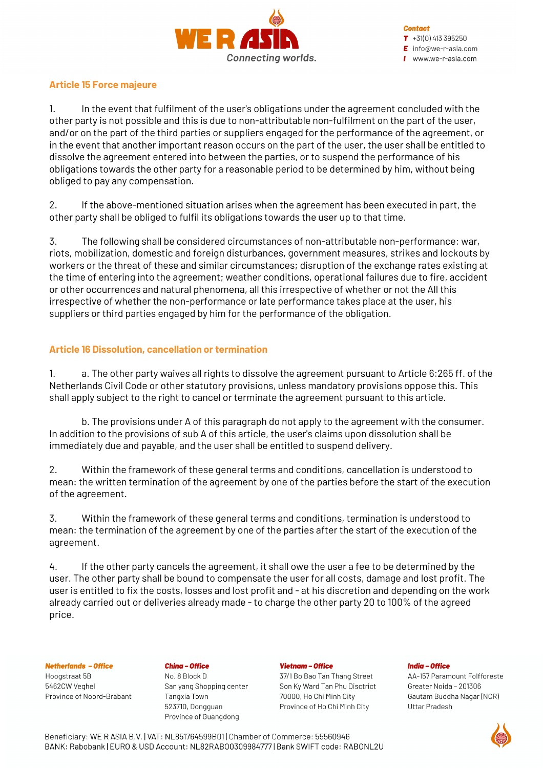

## **Article 15 Force majeure**

1. In the event that fulfilment of the user's obligations under the agreement concluded with the other party is not possible and this is due to non-attributable non-fulfilment on the part of the user, and/or on the part of the third parties or suppliers engaged for the performance of the agreement, or in the event that another important reason occurs on the part of the user, the user shall be entitled to dissolve the agreement entered into between the parties, or to suspend the performance of his obligations towards the other party for a reasonable period to be determined by him, without being obliged to pay any compensation.

2. If the above-mentioned situation arises when the agreement has been executed in part, the other party shall be obliged to fulfil its obligations towards the user up to that time.

3. The following shall be considered circumstances of non-attributable non-performance: war, riots, mobilization, domestic and foreign disturbances, government measures, strikes and lockouts by workers or the threat of these and similar circumstances; disruption of the exchange rates existing at the time of entering into the agreement; weather conditions, operational failures due to fire, accident or other occurrences and natural phenomena, all this irrespective of whether or not the All this irrespective of whether the non-performance or late performance takes place at the user, his suppliers or third parties engaged by him for the performance of the obligation.

## **Article 16 Dissolution, cancellation or termination**

1. a. The other party waives all rights to dissolve the agreement pursuant to Article 6:265 ff. of the Netherlands Civil Code or other statutory provisions, unless mandatory provisions oppose this. This shall apply subject to the right to cancel or terminate the agreement pursuant to this article.

b. The provisions under A of this paragraph do not apply to the agreement with the consumer. In addition to the provisions of sub A of this article, the user's claims upon dissolution shall be immediately due and payable, and the user shall be entitled to suspend delivery.

2. Within the framework of these general terms and conditions, cancellation is understood to mean: the written termination of the agreement by one of the parties before the start of the execution of the agreement.

3. Within the framework of these general terms and conditions, termination is understood to mean: the termination of the agreement by one of the parties after the start of the execution of the agreement.

4. If the other party cancels the agreement, it shall owe the user a fee to be determined by the user. The other party shall be bound to compensate the user for all costs, damage and lost profit. The user is entitled to fix the costs, losses and lost profit and - at his discretion and depending on the work already carried out or deliveries already made - to charge the other party 20 to 100% of the agreed price.

### **Netherlands - Office**

Hoogstraat 5B 5462CW Veahel Province of Noord-Brabant **China - Office** No. 8 Block D San vang Shopping center Tangxia Town 523710, Dongguan Province of Guangdong

#### **Vietnam - Office**

37/1 Bo Bao Tan Thang Street Son Ky Ward Tan Phu Disctrict 70000, Ho Chi Minh City Province of Ho Chi Minh City

#### **India - Office**

AA-157 Paramount Folfforeste Greater Noida - 201306 Gautam Buddha Nagar (NCR) **Uttar Pradesh**